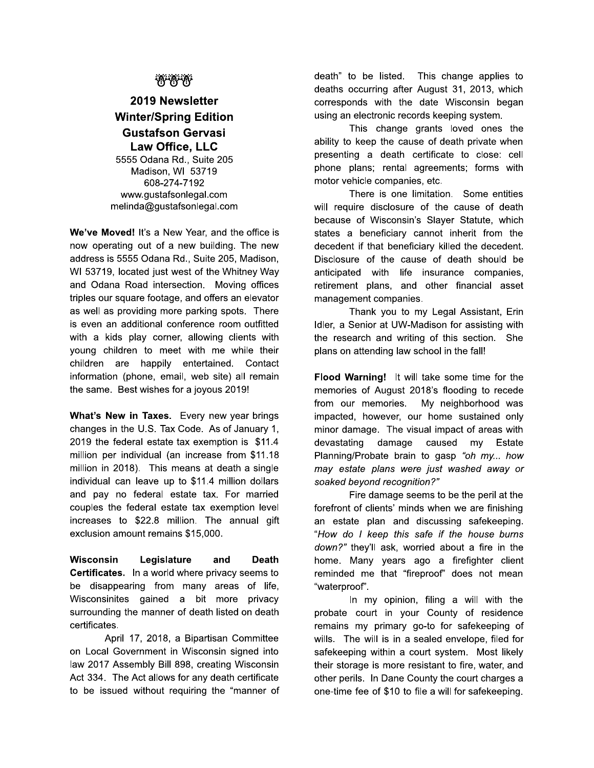## \*B\*B\*B\*

## 2019 Newsletter **Winter/Spring Edition Gustafson Gervasi** Law Office, LLC

5555 Odana Rd., Suite 205 Madison, WI 53719 608-274-7192 www.gustafsonlegal.com melinda@gustafsonlegal.com

We've Moved! It's a New Year, and the office is now operating out of a new building. The new address is 5555 Odana Rd., Suite 205, Madison, WI 53719, located just west of the Whitney Way and Odana Road intersection. Moving offices triples our square footage, and offers an elevator as well as providing more parking spots. There is even an additional conference room outfitted with a kids play corner, allowing clients with young children to meet with me while their children are happily entertained. Contact information (phone, email, web site) all remain the same. Best wishes for a joyous 2019!

What's New in Taxes. Every new year brings changes in the U.S. Tax Code. As of January 1, 2019 the federal estate tax exemption is \$11.4 million per individual (an increase from \$11.18 million in 2018). This means at death a single individual can leave up to \$11.4 million dollars and pay no federal estate tax. For married couples the federal estate tax exemption level increases to \$22.8 million. The annual gift exclusion amount remains \$15,000.

**Wisconsin** Legislature and **Death** Certificates. In a world where privacy seems to be disappearing from many areas of life, Wisconsinites gained a bit more privacy surrounding the manner of death listed on death certificates.

April 17, 2018, a Bipartisan Committee on Local Government in Wisconsin signed into law 2017 Assembly Bill 898, creating Wisconsin Act 334. The Act allows for any death certificate to be issued without requiring the "manner of death" to be listed. This change applies to deaths occurring after August 31, 2013, which corresponds with the date Wisconsin began using an electronic records keeping system.

This change grants loved ones the ability to keep the cause of death private when presenting a death certificate to close: cell phone plans; rental agreements; forms with motor vehicle companies, etc.

There is one limitation. Some entities will require disclosure of the cause of death because of Wisconsin's Slaver Statute, which states a beneficiary cannot inherit from the decedent if that beneficiary killed the decedent. Disclosure of the cause of death should be anticipated with life insurance companies, retirement plans, and other financial asset management companies.

Thank you to my Legal Assistant, Erin Idler, a Senior at UW-Madison for assisting with the research and writing of this section. She plans on attending law school in the fall!

Flood Warning! It will take some time for the memories of August 2018's flooding to recede from our memories. My neighborhood was impacted, however, our home sustained only minor damage. The visual impact of areas with devastating damage caused my Estate Planning/Probate brain to gasp "oh my... how may estate plans were just washed away or soaked beyond recognition?"

Fire damage seems to be the peril at the forefront of clients' minds when we are finishing an estate plan and discussing safekeeping. "How do I keep this safe if the house burns down?" they'll ask, worried about a fire in the home. Many years ago a firefighter client reminded me that "fireproof" does not mean "waterproof".

In my opinion, filing a will with the probate court in your County of residence remains my primary go-to for safekeeping of wills. The will is in a sealed envelope, filed for safekeeping within a court system. Most likely their storage is more resistant to fire, water, and other perils. In Dane County the court charges a one-time fee of \$10 to file a will for safekeeping.